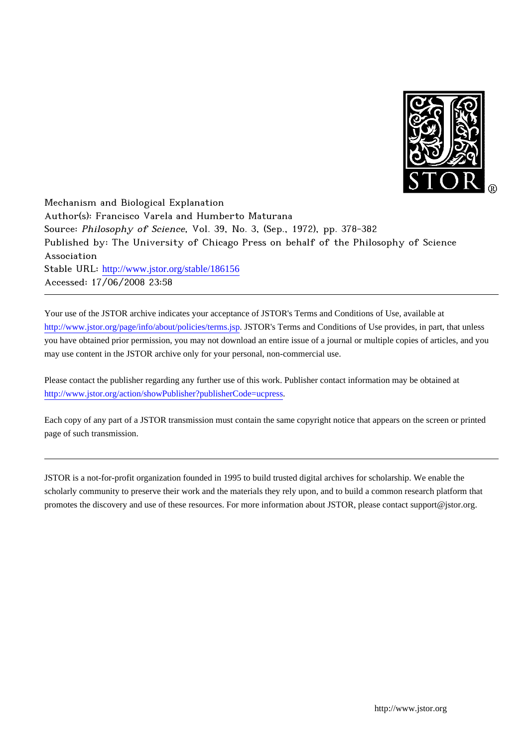

Mechanism and Biological Explanation Author(s): Francisco Varela and Humberto Maturana Source: Philosophy of Science, Vol. 39, No. 3, (Sep., 1972), pp. 378-382 Published by: The University of Chicago Press on behalf of the Philosophy of Science Association Stable URL: [http://www.jstor.org/stable/186156](http://www.jstor.org/stable/186156?origin=JSTOR-pdf) Accessed: 17/06/2008 23:58

Your use of the JSTOR archive indicates your acceptance of JSTOR's Terms and Conditions of Use, available at <http://www.jstor.org/page/info/about/policies/terms.jsp>. JSTOR's Terms and Conditions of Use provides, in part, that unless you have obtained prior permission, you may not download an entire issue of a journal or multiple copies of articles, and you may use content in the JSTOR archive only for your personal, non-commercial use.

Please contact the publisher regarding any further use of this work. Publisher contact information may be obtained at [http://www.jstor.org/action/showPublisher?publisherCode=ucpress.](http://www.jstor.org/action/showPublisher?publisherCode=ucpress)

Each copy of any part of a JSTOR transmission must contain the same copyright notice that appears on the screen or printed page of such transmission.

JSTOR is a not-for-profit organization founded in 1995 to build trusted digital archives for scholarship. We enable the scholarly community to preserve their work and the materials they rely upon, and to build a common research platform that promotes the discovery and use of these resources. For more information about JSTOR, please contact support@jstor.org.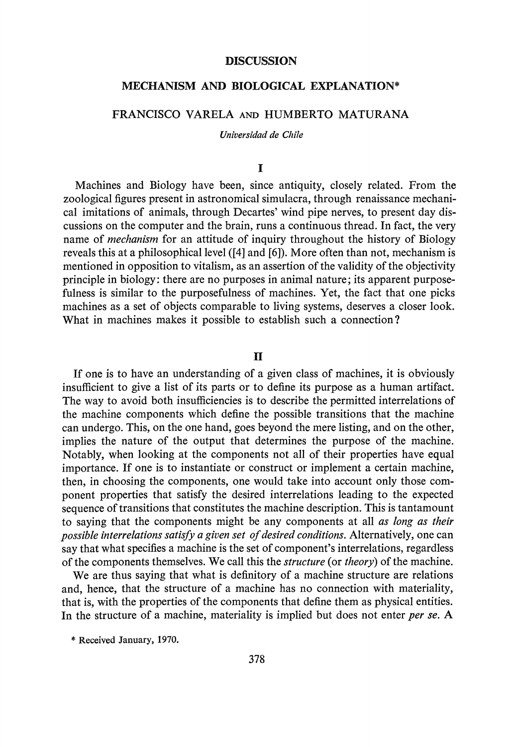# **DISCUSSION**

# **MECHANISM AND BIOLOGICAL EXPLANATION\***

# **FRANCISCO VARELA AND HUMBERTO MATURANA**

**Universidad de Chile** 

### **I**

**Machines and Biology have been, since antiquity, closely related. From the zoological figures present in astronomical simulacra, through renaissance mechanical imitations of animals, through Decartes' wind pipe nerves, to present day discussions on the computer and the brain, runs a continuous thread. In fact, the very name of mechanism for an attitude of inquiry throughout the history of Biology reveals this at a philosophical level ([4] and [6]). More often than not, mechanism is mentioned in opposition to vitalism, as an assertion of the validity of the objectivity principle in biology: there are no purposes in animal nature; its apparent purposefulness is similar to the purposefulness of machines. Yet, the fact that one picks machines as a set of objects comparable to living systems, deserves a closer look. What in machines makes it possible to establish such a connection?** 

# **II**

**If one is to have an understanding of a given class of machines, it is obviously insufficient to give a list of its parts or to define its purpose as a human artifact. The way to avoid both insufficiencies is to describe the permitted interrelations of the machine components which define the possible transitions that the machine can undergo. This, on the one hand, goes beyond the mere listing, and on the other, implies the nature of the output that determines the purpose of the machine. Notably, when looking at the components not all of their properties have equal importance. If one is to instantiate or construct or implement a certain machine, then, in choosing the components, one would take into account only those component properties that satisfy the desired interrelations leading to the expected sequence of transitions that constitutes the machine description. This is tantamount to saying that the components might be any components at all as long as their possible interrelations satisfy a given set of desired conditions. Alternatively, one can say that what specifies a machine is the set of component's interrelations, regardless of the components themselves. We call this the structure (or theory) of the machine.** 

**We are thus saying that what is definitory of a machine structure are relations and, hence, that the structure of a machine has no connection with materiality, that is, with the properties of the components that define them as physical entities. In the structure of a machine, materiality is implied but does not enter per se. A** 

**\* Received January, 1970.**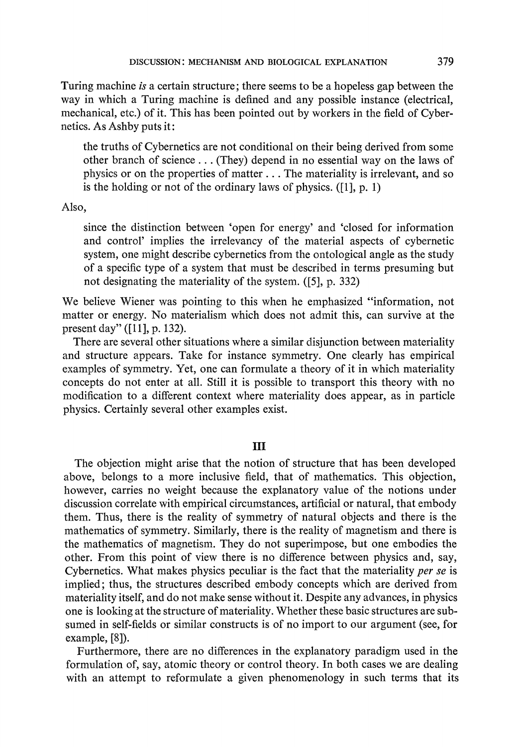**Turing machine is a certain structure; there seems to be a hopeless gap between the way in which a Turing machine is defined and any possible instance (electrical, mechanical, etc.) of it. This has been pointed out by workers in the field of Cybernetics. As Ashby puts it:** 

**the truths of Cybernetics are not conditional on their being derived from some other branch of science ... (They) depend in no essential way on the laws of physics or on the properties of matter . .. The materiality is irrelevant, and so is the holding or not of the ordinary laws of physics. ([1], p. 1)** 

#### **Also,**

**since the distinction between 'open for energy' and 'closed for information and control' implies the irrelevancy of the material aspects of cybernetic system, one might describe cybernetics from the ontological angle as the study of a specific type of a system that must be described in terms presuming but not designating the materiality of the system. ([5], p. 332)** 

**We believe Wiener was pointing to this when he emphasized "information, not matter or energy. No materialism which does not admit this, can survive at the present day" ([1 1], p. 132).** 

**There are several other situations where a similar disjunction between materiality and structure appears. Take for instance symmetry. One clearly has empirical examples of symmetry. Yet, one can formulate a theory of it in which materiality concepts do not enter at all. Still it is possible to transport this theory with no modification to a different context where materiality does appear, as in particle physics. Certainly several other examples exist.** 

#### **III**

**The objection might arise that the notion of structure that has been developed above, belongs to a more inclusive field, that of mathematics. This objection, however, carries no weight because the explanatory value of the notions under discussion correlate with empirical circumstances, artificial or natural, that embody them. Thus, there is the reality of symmetry of natural objects and there is the mathematics of symmetry. Similarly, there is the reality of magnetism and there is the mathematics of magnetism. They do not superimpose, but one embodies the other. From this point of view there is no difference between physics and, say, Cybernetics. What makes physics peculiar is the fact that the materiality per se is implied; thus, the structures described embody concepts which are derived from materiality itself, and do not make sense without it. Despite any advances, in physics one is looking at the structure of materiality. Whether these basic structures are subsumed in self-fields or similar constructs is of no import to our argument (see, for example, [8]).** 

**Furthermore, there are no differences in the explanatory paradigm used in the formulation of, say, atomic theory or control theory. In both cases we are dealing with an attempt to reformulate a given phenomenology in such terms that its**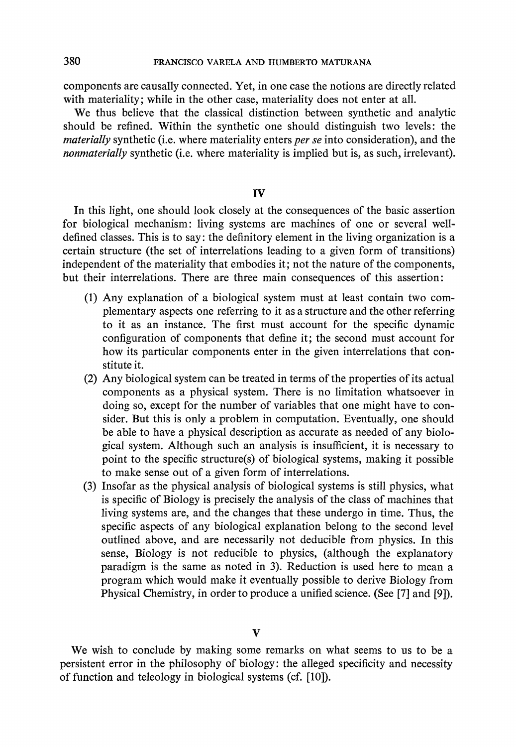**components are causally connected. Yet, in one case the notions are directly related with materiality; while in the other case, materiality does not enter at all.** 

**We thus believe that the classical distinction between synthetic and analytic should be refined. Within the synthetic one should distinguish two levels: the materially synthetic (i.e. where materiality enters per se into consideration), and the nonmaterially synthetic (i.e. where materiality is implied but is, as such, irrelevant).** 

#### **IV**

**In this light, one should look closely at the consequences of the basic assertion for biological mechanism: living systems are machines of one or several welldefined classes. This is to say: the definitory element in the living organization is a certain structure (the set of interrelations leading to a given form of transitions) independent of the materiality that embodies it; not the nature of the components, but their interrelations. There are three main consequences of this assertion:** 

- **(1) Any explanation of a biological system must at least contain two complementary aspects one referring to it as a structure and the other referring to it as an instance. The first must account for the specific dynamic configuration of components that define it; the second must account for how its particular components enter in the given interrelations that constitute it.**
- **(2) Any biological system can be treated in terms of the properties of its actual components as a physical system. There is no limitation whatsoever in doing so, except for the number of variables that one might have to consider. But this is only a problem in computation. Eventually, one should be able to have a physical description as accurate as needed of any biological system. Although such an analysis is insufficient, it is necessary to point to the specific structure(s) of biological systems, making it possible to make sense out of a given form of interrelations.**
- **(3) Insofar as the physical analysis of biological systems is still physics, what is specific of Biology is precisely the analysis of the class of machines that living systems are, and the changes that these undergo in time. Thus, the specific aspects of any biological explanation belong to the second level outlined above, and are necessarily not deducible from physics. In this sense, Biology is not reducible to physics, (although the explanatory paradigm is the same as noted in 3). Reduction is used here to mean a program which would make it eventually possible to derive Biology from Physical Chemistry, in order to produce a unified science. (See [7] and [9]).**

**We wish to conclude by making some remarks on what seems to us to be a persistent error in the philosophy of biology: the alleged specificity and necessity of function and teleology in biological systems (cf. [101).**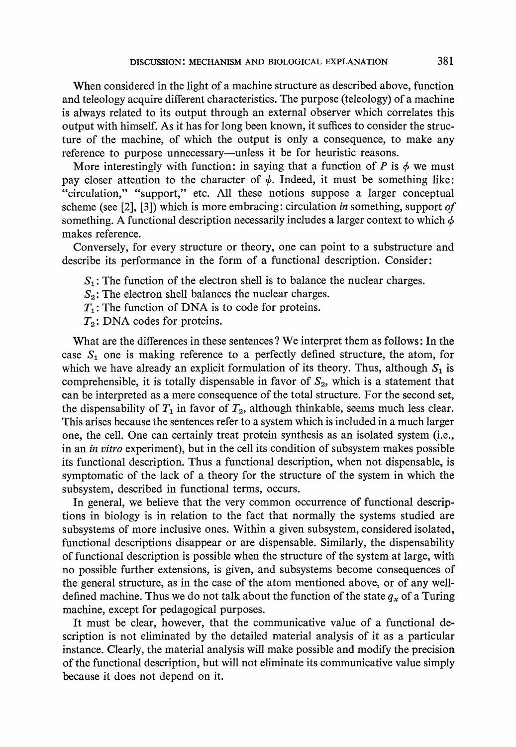**When considered in the light of a machine structure as described above, function and teleology acquire different characteristics. The purpose (teleology) of a machine is always related to its output through an external observer which correlates this output with himself. As it has for long been known, it suffices to consider the structure of the machine, of which the output is only a consequence, to make any**  reference to purpose unnecessary—unless it be for heuristic reasons.

More interestingly with function: in saying that a function of P is  $\phi$  we must **pay closer attention to the character of**  $\phi$ **. Indeed, it must be something like: "circulation," "support," etc. All these notions suppose a larger conceptual scheme (see [2], [3]) which is more embracing: circulation in something, support of**  something. A functional description necessarily includes a larger context to which  $\phi$ **makes reference.** 

**Conversely, for every structure or theory, one can point to a substructure and describe its performance in the form of a functional description. Consider:** 

- **S1: The function of the electron shell is to balance the nuclear charges.**
- **S2: The electron shell balances the nuclear charges.**
- **T<sub>1</sub>**: The function of DNA is to code for proteins.
- **T2: DNA codes for proteins.**

**What are the differences in these sentences? We interpret them as follows: In the**  case  $S_1$  one is making reference to a perfectly defined structure, the atom, for which we have already an explicit formulation of its theory. Thus, although  $S_1$  is comprehensible, it is totally dispensable in favor of  $S<sub>2</sub>$ , which is a statement that **can be interpreted as a mere consequence of the total structure. For the second set,**  the dispensability of  $T_1$  in favor of  $T_2$ , although thinkable, seems much less clear. **This arises because the sentences refer to a system which is included in a much larger one, the cell. One can certainly treat protein synthesis as an isolated system (i.e., in an in vitro experiment), but in the cell its condition of subsystem makes possible its functional description. Thus a functional description, when not dispensable, is symptomatic of the lack of a theory for the structure of the system in which the subsystem, described in functional terms, occurs.** 

**In general, we believe that the very common occurrence of functional descriptions in biology is in relation to the fact that normally the systems studied are subsystems of more inclusive ones. Within a given subsystem, considered isolated, functional descriptions disappear or are dispensable. Similarly, the dispensability of functional description is possible when the structure of the system at large, with no possible further extensions, is given, and subsystems become consequences of the general structure, as in the case of the atom mentioned above, or of any well**defined machine. Thus we do not talk about the function of the state  $q_x$  of a Turing **machine, except for pedagogical purposes.** 

**It must be clear, however, that the communicative value of a functional description is not eliminated by the detailed material analysis of it as a particular instance. Clearly, the material analysis will make possible and modify the precision of the functional description, but will not eliminate its communicative value simply because it does not depend on it.**